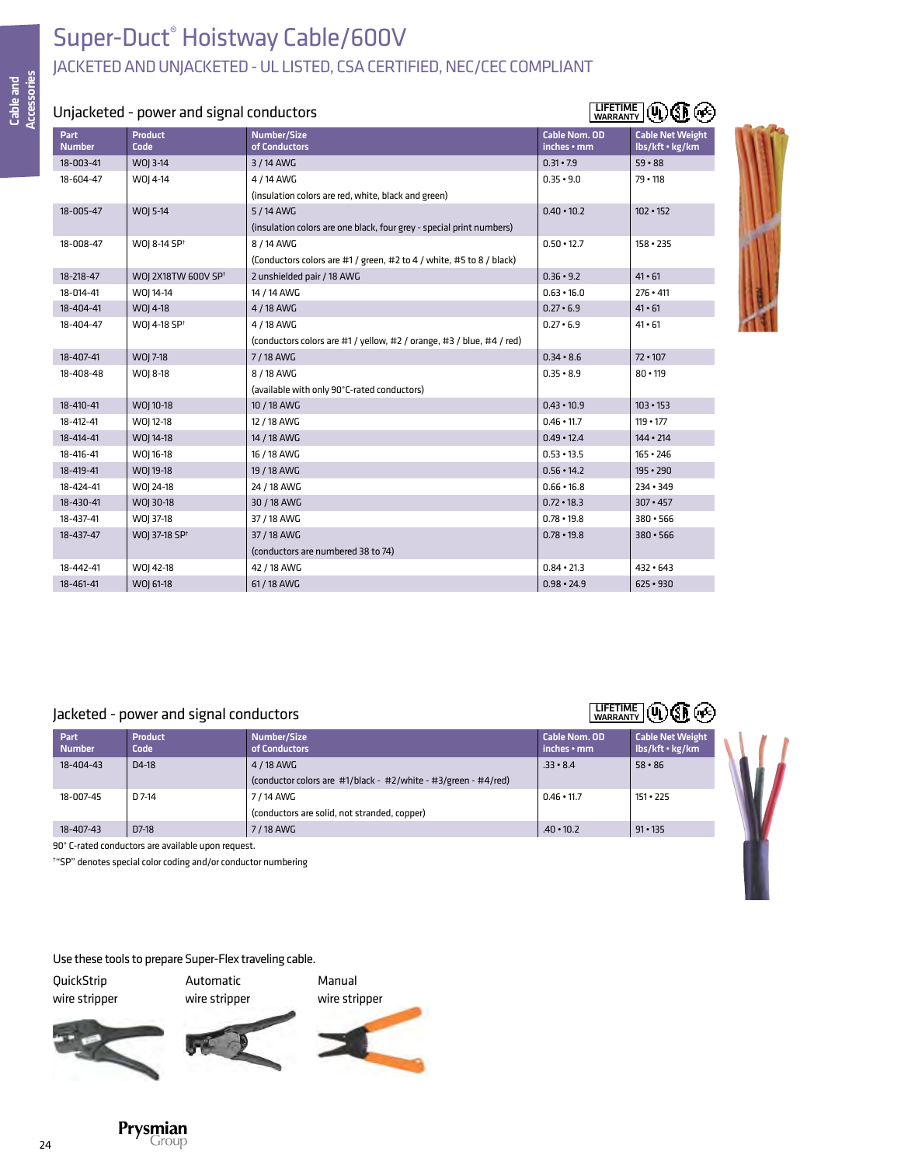# Super-Duct® Hoistway Cable/600v JACkETEDANDUNJACkETED - UL LISTED, CSA CERTIFIED, NEC/CEC COMPLIANT

### Unjacketed - power and signal conductors

| <b>Part</b><br><b>Number</b> | <b>Product</b><br><b>Code</b>   | Number/Size<br>of Conductors                                          | Cable Nom. OD<br>inches • mm | <b>Cable Net Weight</b><br>lbs/kft · kg/km |
|------------------------------|---------------------------------|-----------------------------------------------------------------------|------------------------------|--------------------------------------------|
| 18-003-41                    | WOJ 3-14                        | 3 / 14 AWG                                                            | $0.31 \cdot 7.9$             | $59 \cdot 88$                              |
| 18-604-47                    | WOJ 4-14                        | 4 / 14 AWG                                                            | $0.35 - 9.0$                 | $79 - 118$                                 |
|                              |                                 | (insulation colors are red, white, black and green)                   |                              |                                            |
| 18-005-47                    | WOJ 5-14                        | 5 / 14 AWG                                                            | $0.40 \cdot 10.2$            | $102 \cdot 152$                            |
|                              |                                 | (insulation colors are one black, four grey - special print numbers)  |                              |                                            |
| 18-008-47                    | WOI 8-14 SP <sup>+</sup>        | 8 / 14 AWG                                                            | $0.50 \cdot 12.7$            | $158 \cdot 235$                            |
|                              |                                 | (Conductors colors are #1 / green, #2 to 4 / white, #5 to 8 / black)  |                              |                                            |
| 18-218-47                    | WOJ 2X18TW 600V SP <sup>+</sup> | 2 unshielded pair / 18 AWG                                            | $0.36 \cdot 9.2$             | $41 \cdot 61$                              |
| 18-014-41                    | WOJ 14-14                       | 14 / 14 AWG                                                           | $0.63 \cdot 16.0$            | $276 \cdot 411$                            |
| 18-404-41                    | WOI 4-18                        | 4 / 18 AWG                                                            | $0.27 \cdot 6.9$             | $41 \cdot 61$                              |
| 18-404-47                    | WOI 4-18 SP <sup>t</sup>        | 4 / 18 AWG                                                            | $0.27 \cdot 6.9$             | $41 \cdot 61$                              |
|                              |                                 | (conductors colors are #1 / yellow, #2 / orange, #3 / blue, #4 / red) |                              |                                            |
| 18-407-41                    | WOJ 7-18                        | 7 / 18 AWG                                                            | $0.34 \cdot 8.6$             | $72 \cdot 107$                             |
| 18-408-48                    | WOJ 8-18                        | 8 / 18 AWG                                                            | $0.35 - 8.9$                 | 80 • 119                                   |
|                              |                                 | (available with only 90°C-rated conductors)                           |                              |                                            |
| 18-410-41                    | WOJ 10-18                       | 10 / 18 AWG                                                           | $0.43 \cdot 10.9$            | $103 \cdot 153$                            |
| 18-412-41                    | WOJ 12-18                       | 12 / 18 AWG                                                           | $0.46 \cdot 11.7$            | $119 \cdot 177$                            |
| 18-414-41                    | WOJ 14-18                       | 14 / 18 AWG                                                           | $0.49 \cdot 12.4$            | $144 \cdot 214$                            |
| 18-416-41                    | WOJ 16-18                       | 16 / 18 AWG                                                           | $0.53 - 13.5$                | $165 \cdot 246$                            |
| 18-419-41                    | WOJ 19-18                       | 19 / 18 AWG                                                           | $0.56 \cdot 14.2$            | $195 \cdot 290$                            |
| 18-424-41                    | WOI 24-18                       | 24 / 18 AWG                                                           | $0.66 \cdot 16.8$            | $234 \cdot 349$                            |
| 18-430-41                    | WOJ 30-18                       | 30 / 18 AWG                                                           | $0.72 \cdot 18.3$            | $307 \cdot 457$                            |
| 18-437-41                    | WOJ 37-18                       | 37 / 18 AWG                                                           | $0.78 \cdot 19.8$            | $380 \cdot 566$                            |
| 18-437-47                    | WOJ 37-18 SP <sup>+</sup>       | 37 / 18 AWG                                                           | $0.78 \cdot 19.8$            | $380 \cdot 566$                            |
|                              |                                 | (conductors are numbered 38 to 74)                                    |                              |                                            |
| 18-442-41                    | WOI 42-18                       | 42 / 18 AWG                                                           | $0.84 \cdot 21.3$            | $432 \cdot 643$                            |
| 18-461-41                    | WOJ 61-18                       | 61 / 18 AWG                                                           | $0.98 \cdot 24.9$            | $625 \cdot 930$                            |



#### Jacketed - power and signal conductors

## LIFETIME WARRANTY

LIFETIME WARRANTY

| Part<br><b>Number</b> | Product<br>Code | Number/Size<br>of Conductors                                                                 | <b>Cable Nom. OD</b><br>$inches \cdot mm$ | <b>Cable Net Weight</b><br>lbs/kft • kg/km |
|-----------------------|-----------------|----------------------------------------------------------------------------------------------|-------------------------------------------|--------------------------------------------|
| 18-404-43             | $D4-18$         | 4 / 18 AWG<br>(conductor colors are $\#1$ /black - $\#2$ /white - $\#3$ /green - $\#4$ /red) | $.33 \cdot 8.4$                           | $58 \cdot 86$                              |
| 18-007-45             | $D 7-14$        | 7 / 14 AWG                                                                                   | $0.46 \cdot 11.7$                         | $151 \cdot 225$                            |
|                       |                 | (conductors are solid, not stranded, copper)                                                 |                                           |                                            |
| 18-407-43             | $D7-18$         | 7/18 AWG                                                                                     | $.40 \cdot 10.2$                          | $91 \cdot 135$                             |

90° C-rated conductors are available upon request.

† "SP" denotes special color coding and/or conductor numbering

Use these tools to prepare Super-Flex traveling cable.

QuickStrip Automatic Manual